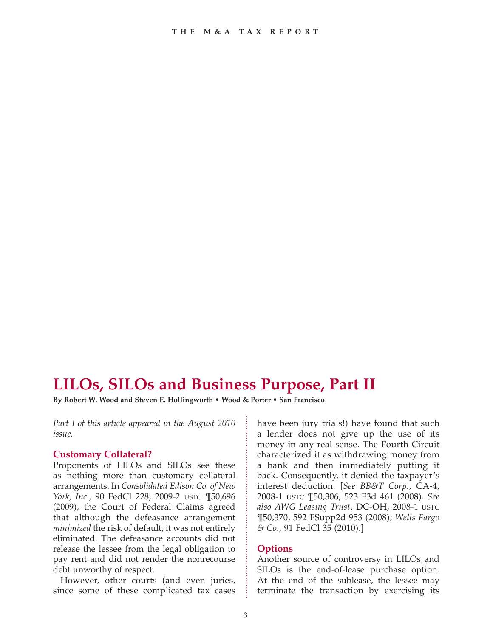# **LILOs, SILOs and Business Purpose, Part II**

**By Robert W. Wood and Steven E. Hollingworth • Wood & Porter • San Francisco**

*Part I of this article appeared in the August 2010 issue.*

#### **Customary Collateral?**

Proponents of LILOs and SILOs see these as nothing more than customary collateral arrangements. In *Consolidated Edison Co. of New York, Inc.,* 90 FedCl 228, 2009-2 USTC ¶50,696 (2009), the Court of Federal Claims agreed that although the defeasance arrangement *minimized* the risk of default, it was not entirely eliminated. The defeasance accounts did not release the lessee from the legal obligation to pay rent and did not render the nonrecourse debt unworthy of respect.

However, other courts (and even juries, since some of these complicated tax cases have been jury trials!) have found that such a lender does not give up the use of its money in any real sense. The Fourth Circuit characterized it as withdrawing money from a bank and then immediately putting it back. Consequently, it denied the taxpayer's interest deduction. [*See BB&T Corp.*, CA-4, 2008-1 USTC ¶50,306, 523 F3d 461 (2008). *See also AWG Leasing Trust*, DC-OH, 2008-1 USTC ¶50,370, 592 FSupp2d 953 (2008); *Wells Fargo & Co.*, 91 FedCl 35 (2010).]

## **Options**

Another source of controversy in LILOs and SILOs is the end-of-lease purchase option. At the end of the sublease, the lessee may terminate the transaction by exercising its